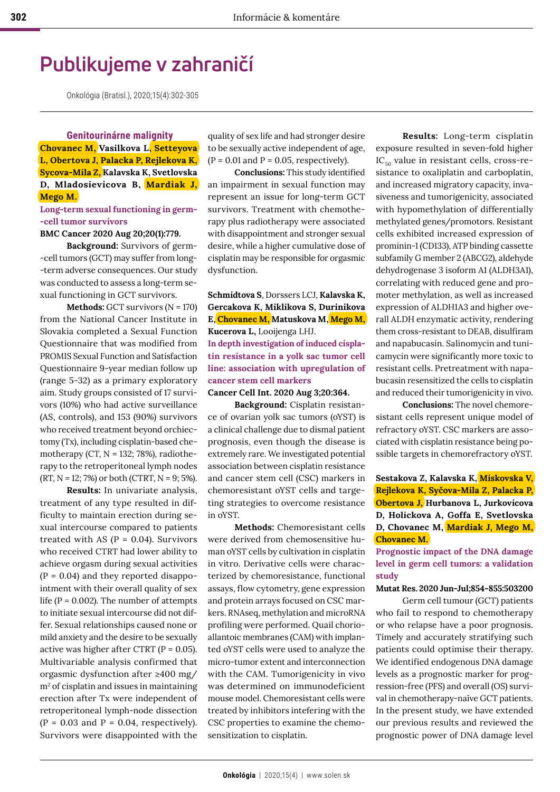# **Publikujeme v zahraničí**

Onkológia (Bratisl.), 2020;15(4):302-305

**Genitourinárne malignity Chovanec M, Vasilkova L, Setteyova L, Obertova J, Palacka P, Rejlekova K, Sycova-Mila Z, Kalavska K, Svetlovska D, Mladosievicova B, Mardiak J, Mego M.** 

## **Long-term sexual functioning in germ- -cell tumor survivors**

**BMC Cancer 2020 Aug 20;20(1):779.**

**Background:** Survivors of germ- -cell tumors (GCT) may suffer from long- -term adverse consequences. Our study was conducted to assess a long-term sexual functioning in GCT survivors.

**Methods:** GCT survivors (N = 170) from the National Cancer Institute in Slovakia completed a Sexual Function Questionnaire that was modified from PROMIS Sexual Function and Satisfaction Questionnaire 9-year median follow up (range 5-32) as a primary exploratory aim. Study groups consisted of 17 survivors (10%) who had active surveillance (AS, controls), and 153 (90%) survivors who received treatment beyond orchiectomy (Tx), including cisplatin-based chemotherapy (CT,  $N = 132$ ; 78%), radiotherapy to the retroperitoneal lymph nodes  $(RT, N = 12; 7%)$  or both (CTRT,  $N = 9; 5%$ ).

**Results:** In univariate analysis, treatment of any type resulted in difficulty to maintain erection during sexual intercourse compared to patients treated with AS ( $P = 0.04$ ). Survivors who received CTRT had lower ability to achieve orgasm during sexual activities  $(P = 0.04)$  and they reported disappointment with their overall quality of sex life ( $P = 0.002$ ). The number of attempts to initiate sexual intercourse did not differ. Sexual relationships caused none or mild anxiety and the desire to be sexually active was higher after CTRT ( $P = 0.05$ ). Multivariable analysis confirmed that orgasmic dysfunction after ≥400 mg/  $m<sup>2</sup>$  of cisplatin and issues in maintaining erection after Tx were independent of retroperitoneal lymph-node dissection  $(P = 0.03$  and  $P = 0.04$ , respectively). Survivors were disappointed with the

quality of sex life and had stronger desire to be sexually active independent of age,  $(P = 0.01$  and  $P = 0.05$ , respectively).

**Conclusions:** This study identified an impairment in sexual function may represent an issue for long-term GCT survivors. Treatment with chemotherapy plus radiotherapy were associated with disappointment and stronger sexual desire, while a higher cumulative dose of cisplatin may be responsible for orgasmic dysfunction.

**Schmidtova S**, Dorssers LCJ, **Kalavska K, Gercakova K, Miklikova S, Durinikova E, Chovanec M, Matuskova M, Mego M, Kucerova L,** Looijenga LHJ. **In depth investigation of induced cisplatin resistance in a yolk sac tumor cell line: association with upregulation of cancer stem cell markers**

# **Cancer Cell Int. 2020 Aug 3;20:364.**

**Background:** Cisplatin resistance of ovarian yolk sac tumors (oYST) is a clinical challenge due to dismal patient prognosis, even though the disease is extremely rare. We investigated potential association between cisplatin resistance and cancer stem cell (CSC) markers in chemoresistant oYST cells and targeting strategies to overcome resistance in oYST.

**Methods:** Chemoresistant cells were derived from chemosensitive human oYST cells by cultivation in cisplatin in vitro. Derivative cells were characterized by chemoresistance, functional assays, flow cytometry, gene expression and protein arrays focused on CSC markers. RNAseq, methylation and microRNA profiling were performed. Quail chorioallantoic membranes (CAM) with implanted oYST cells were used to analyze the micro-tumor extent and interconnection with the CAM. Tumorigenicity in vivo was determined on immunodeficient mouse model. Chemoresistant cells were treated by inhibitors intefering with the CSC properties to examine the chemosensitization to cisplatin.

**Results:** Long-term cisplatin exposure resulted in seven-fold higher  $IC_{50}$  value in resistant cells, cross-resistance to oxaliplatin and carboplatin, and increased migratory capacity, invasiveness and tumorigenicity, associated with hypomethylation of differentially methylated genes/promotors. Resistant cells exhibited increased expression of prominin-1 (CD133), ATP binding cassette subfamily G member 2 (ABCG2), aldehyde dehydrogenase 3 isoform A1 (ALDH3A1), correlating with reduced gene and promoter methylation, as well as increased expression of ALDH1A3 and higher overall ALDH enzymatic activity, rendering them cross-resistant to DEAB, disulfiram and napabucasin. Salinomycin and tunicamycin were significantly more toxic to resistant cells. Pretreatment with napabucasin resensitized the cells to cisplatin and reduced their tumorigenicity in vivo.

**Conclusions:** The novel chemoresistant cells represent unique model of refractory oYST. CSC markers are associated with cisplatin resistance being possible targets in chemorefractory oYST.

**Sestakova Z, Kalavska K, Miskovska V, Rejlekova K, Syčova-Mila Z, Palacka P, Obertova J, Hurbanova L, Jurkovicova D, Holickova A, Goffa E, Svetlovska D, Chovanec M, Mardiak J, Mego M, Chovanec M.**

**Prognostic impact of the DNA damage level in germ cell tumors: a validation study** 

#### **Mutat Res. 2020 Jun-Jul;854-855:503200**

Germ cell tumour (GCT) patients who fail to respond to chemotherapy or who relapse have a poor prognosis. Timely and accurately stratifying such patients could optimise their therapy. We identified endogenous DNA damage levels as a prognostic marker for progression-free (PFS) and overall (OS) survival in chemotherapy-naïve GCT patients. In the present study, we have extended our previous results and reviewed the prognostic power of DNA damage level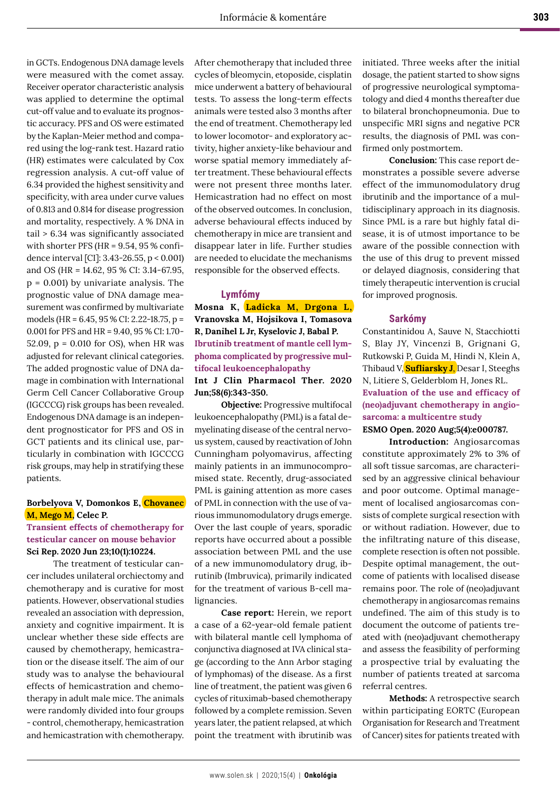in GCTs. Endogenous DNA damage levels were measured with the comet assay. Receiver operator characteristic analysis was applied to determine the optimal cut-off value and to evaluate its prognostic accuracy. PFS and OS were estimated by the Kaplan-Meier method and compared using the log-rank test. Hazard ratio (HR) estimates were calculated by Cox regression analysis. A cut-off value of 6.34 provided the highest sensitivity and specificity, with area under curve values of 0.813 and 0.814 for disease progression and mortality, respectively. A % DNA in tail > 6.34 was significantly associated with shorter PFS (HR = 9.54, 95 % confidence interval [CI]: 3.43-26.55, p < 0.001) and OS (HR = 14.62, 95 % CI: 3.14-67.95, p = 0.001) by univariate analysis. The prognostic value of DNA damage measurement was confirmed by multivariate models (HR = 6.45, 95 % CI: 2.22-18.75, p = 0.001 for PFS and HR = 9.40, 95 % CI: 1.70- 52.09, p = 0.010 for OS), when HR was adjusted for relevant clinical categories. The added prognostic value of DNA damage in combination with International Germ Cell Cancer Collaborative Group (IGCCCG) risk groups has been revealed. Endogenous DNA damage is an independent prognosticator for PFS and OS in GCT patients and its clinical use, particularly in combination with IGCCCG risk groups, may help in stratifying these patients.

# **Borbelyova V, Domonkos E, Chovanec M, Mego M, Celec P.**

## **Transient effects of chemotherapy for testicular cancer on mouse behavior Sci Rep. 2020 Jun 23;10(1):10224.**

The treatment of testicular cancer includes unilateral orchiectomy and chemotherapy and is curative for most patients. However, observational studies revealed an association with depression, anxiety and cognitive impairment. It is unclear whether these side effects are caused by chemotherapy, hemicastration or the disease itself. The aim of our study was to analyse the behavioural effects of hemicastration and chemotherapy in adult male mice. The animals were randomly divided into four groups - control, chemotherapy, hemicastration and hemicastration with chemotherapy.

After chemotherapy that included three cycles of bleomycin, etoposide, cisplatin mice underwent a battery of behavioural tests. To assess the long-term effects animals were tested also 3 months after the end of treatment. Chemotherapy led to lower locomotor- and exploratory activity, higher anxiety-like behaviour and worse spatial memory immediately after treatment. These behavioural effects were not present three months later. Hemicastration had no effect on most of the observed outcomes. In conclusion, adverse behavioural effects induced by chemotherapy in mice are transient and disappear later in life. Further studies are needed to elucidate the mechanisms responsible for the observed effects.

### **Lymfómy**

**Mosna K, Ladicka M, Drgona L, Vranovska M, Hojsikova I, Tomasova R, Danihel L Jr, Kyselovic J, Babal P. Ibrutinib treatment of mantle cell lymphoma complicated by progressive multifocal leukoencephalopathy Int J Clin Pharmacol Ther. 2020 Jun;58(6):343-350.** 

**Objective:** Progressive multifocal leukoencephalopathy (PML) is a fatal demyelinating disease of the central nervous system, caused by reactivation of John Cunningham polyomavirus, affecting mainly patients in an immunocompromised state. Recently, drug-associated PML is gaining attention as more cases of PML in connection with the use of various immunomodulatory drugs emerge. Over the last couple of years, sporadic reports have occurred about a possible association between PML and the use of a new immunomodulatory drug, ibrutinib (Imbruvica), primarily indicated for the treatment of various B-cell malignancies.

**Case report:** Herein, we report a case of a 62-year-old female patient with bilateral mantle cell lymphoma of conjunctiva diagnosed at IVA clinical stage (according to the Ann Arbor staging of lymphomas) of the disease. As a first line of treatment, the patient was given 6 cycles of rituximab-based chemotherapy followed by a complete remission. Seven years later, the patient relapsed, at which point the treatment with ibrutinib was

initiated. Three weeks after the initial dosage, the patient started to show signs of progressive neurological symptomatology and died 4 months thereafter due to bilateral bronchopneumonia. Due to unspecific MRI signs and negative PCR results, the diagnosis of PML was confirmed only postmortem.

**Conclusion:** This case report demonstrates a possible severe adverse effect of the immunomodulatory drug ibrutinib and the importance of a multidisciplinary approach in its diagnosis. Since PML is a rare but highly fatal disease, it is of utmost importance to be aware of the possible connection with the use of this drug to prevent missed or delayed diagnosis, considering that timely therapeutic intervention is crucial for improved prognosis.

#### **Sarkómy**

Constantinidou A, Sauve N, Stacchiotti S, Blay JY, Vincenzi B, Grignani G, Rutkowski P, Guida M, Hindi N, Klein A, Thibaud V, **Sufliarsky J**, Desar I, Steeghs N, Litiere S, Gelderblom H, Jones RL. **Evaluation of the use and efficacy of (neo)adjuvant chemotherapy in angiosarcoma: a multicentre study**

# **ESMO Open. 2020 Aug;5(4):e000787.**

**Introduction:** Angiosarcomas constitute approximately 2% to 3% of all soft tissue sarcomas, are characterised by an aggressive clinical behaviour and poor outcome. Optimal management of localised angiosarcomas consists of complete surgical resection with or without radiation. However, due to the infiltrating nature of this disease, complete resection is often not possible. Despite optimal management, the outcome of patients with localised disease remains poor. The role of (neo)adjuvant chemotherapy in angiosarcomas remains undefined. The aim of this study is to document the outcome of patients treated with (neo)adjuvant chemotherapy and assess the feasibility of performing a prospective trial by evaluating the number of patients treated at sarcoma referral centres.

**Methods:** A retrospective search within participating EORTC (European Organisation for Research and Treatment of Cancer) sites for patients treated with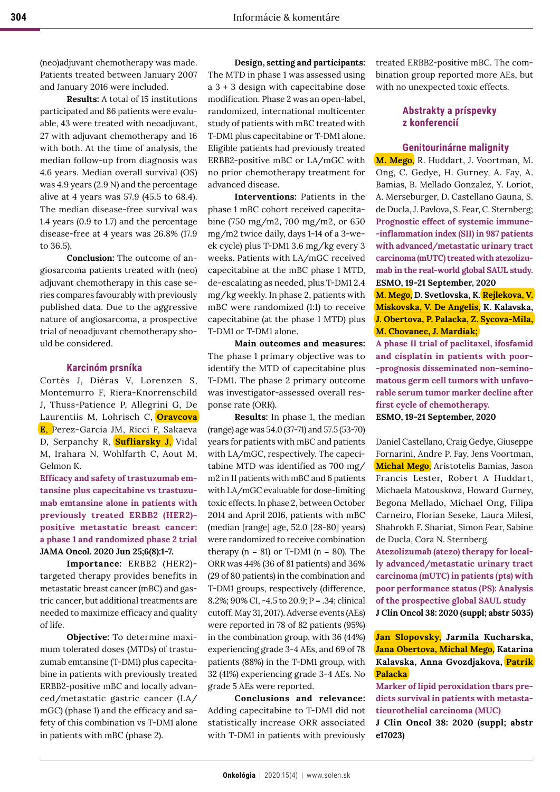(neo)adjuvant chemotherapy was made. Patients treated between January 2007 and January 2016 were included.

**Results:** A total of 15 institutions participated and 86 patients were evaluable, 43 were treated with neoadjuvant, 27 with adjuvant chemotherapy and 16 with both. At the time of analysis, the median follow-up from diagnosis was 4.6 years. Median overall survival (OS) was 4.9 years (2.9 N) and the percentage alive at 4 years was 57.9 (45.5 to 68.4). The median disease-free survival was 1.4 years (0.9 to 1.7) and the percentage disease-free at 4 years was 26.8% (17.9 to 36.5).

**Conclusion:** The outcome of angiosarcoma patients treated with (neo) adjuvant chemotherapy in this case series compares favourably with previously published data. Due to the aggressive nature of angiosarcoma, a prospective trial of neoadjuvant chemotherapy should be considered.

## **Karcinóm prsníka**

Cortés J, Diéras V, Lorenzen S, Montemurro F, Riera-Knorrenschild J, Thuss-Patience P, Allegrini G, De Laurentiis M, Lohrisch C, **Oravcova E**, Perez-Garcia JM, Ricci F, Sakaeva D, Serpanchy R, **Sufliarsky J**, Vidal M, Irahara N, Wohlfarth C, Aout M, Gelmon K.

**Efficacy and safety of trastuzumab emtansine plus capecitabine vs trastuzumab emtansine alone in patients with previously treated ERBB2 (HER2) positive metastatic breast cancer: a phase 1 and randomized phase 2 trial JAMA Oncol. 2020 Jun 25;6(8):1-7.**

**Importance:** ERBB2 (HER2) targeted therapy provides benefits in metastatic breast cancer (mBC) and gastric cancer, but additional treatments are needed to maximize efficacy and quality of life.

**Objective:** To determine maximum tolerated doses (MTDs) of trastuzumab emtansine (T-DM1) plus capecitabine in patients with previously treated ERBB2-positive mBC and locally advanced/metastatic gastric cancer (LA/ mGC) (phase 1) and the efficacy and safety of this combination vs T-DM1 alone in patients with mBC (phase 2).

**Design, setting and participants:**  The MTD in phase 1 was assessed using a 3 + 3 design with capecitabine dose modification. Phase 2 was an open-label, randomized, international multicenter study of patients with mBC treated with T-DM1 plus capecitabine or T-DM1 alone. Eligible patients had previously treated ERBB2-positive mBC or LA/mGC with no prior chemotherapy treatment for advanced disease.

**Interventions:** Patients in the phase 1 mBC cohort received capecitabine (750 mg/m2, 700 mg/m2, or 650 mg/m2 twice daily, days 1-14 of a 3-week cycle) plus T-DM1 3.6 mg/kg every 3 weeks. Patients with LA/mGC received capecitabine at the mBC phase 1 MTD, de-escalating as needed, plus T-DM1 2.4 mg/kg weekly. In phase 2, patients with mBC were randomized (1:1) to receive capecitabine (at the phase 1 MTD) plus T-DM1 or T-DM1 alone.

**Main outcomes and measures:**  The phase 1 primary objective was to identify the MTD of capecitabine plus T-DM1. The phase 2 primary outcome was investigator-assessed overall response rate (ORR).

**Results:** In phase 1, the median (range) age was 54.0 (37-71) and 57.5 (53-70) years for patients with mBC and patients with LA/mGC, respectively. The capecitabine MTD was identified as 700 mg/ m2 in 11 patients with mBC and 6 patients with LA/mGC evaluable for dose-limiting toxic effects. In phase 2, between October 2014 and April 2016, patients with mBC (median [range] age, 52.0 [28-80] years) were randomized to receive combination therapy  $(n = 81)$  or T-DM1  $(n = 80)$ . The ORR was 44% (36 of 81 patients) and 36% (29 of 80 patients) in the combination and T-DM1 groups, respectively (difference, 8.2%; 90% CI, -4.5 to 20.9; P = .34; clinical cutoff, May 31, 2017). Adverse events (AEs) were reported in 78 of 82 patients (95%) in the combination group, with 36 (44%) experiencing grade 3-4 AEs, and 69 of 78 patients (88%) in the T-DM1 group, with 32 (41%) experiencing grade 3-4 AEs. No grade 5 AEs were reported.

**Conclusions and relevance:**  Adding capecitabine to T-DM1 did not statistically increase ORR associated with T-DM1 in patients with previously treated ERBB2-positive mBC. The combination group reported more AEs, but with no unexpected toxic effects.

# **Abstrakty a príspevky z konferencií**

#### **Genitourinárne malignity**

**M. Mego**, R. Huddart, J. Voortman, M. Ong, C. Gedye, H. Gurney, A. Fay, A. Bamias, B. Mellado Gonzalez, Y. Loriot, A. Merseburger, D. Castellano Gauna, S. de Ducla, J. Pavlova, S. Fear, C. Sternberg; **Prognostic effect of systemic immune- -inflammation index (SII) in 987 patients with advanced/metastatic urinary tract carcinoma (mUTC) treated with atezolizumab in the real-world global SAUL study. ESMO, 19-21 September, 2020**

**M. Mego, D. Svetlovska, K. Rejlekova, V. Miskovska, V. De Angelis, K. Kalavska, J. Obertova, P. Palacka, Z. Sycova-Mila, M. Chovanec, J. Mardiak;** 

**A phase II trial of paclitaxel, ifosfamid and cisplatin in patients with poor- -prognosis disseminated non-seminomatous germ cell tumors with unfavorable serum tumor marker decline after first cycle of chemotherapy.**

**ESMO, 19-21 September, 2020**

Daniel Castellano, Craig Gedye, Giuseppe Fornarini, Andre P. Fay, Jens Voortman, **Michal Mego**, Aristotelis Bamias, Jason Francis Lester, Robert A Huddart, Michaela Matouskova, Howard Gurney, Begona Mellado, Michael Ong, Filipa Carneiro, Florian Seseke, Laura Milesi, Shahrokh F. Shariat, Simon Fear, Sabine de Ducla, Cora N. Sternberg.

**Atezolizumab (atezo) therapy for locally advanced/metastatic urinary tract carcinoma (mUTC) in patients (pts) with poor performance status (PS): Analysis of the prospective global SAUL study J Clin Oncol 38: 2020 (suppl; abstr 5035)** 

**Jan Slopovsky, Jarmila Kucharska, Jana Obertova, Michal Mego, Katarina Kalavska, Anna Gvozdjakova, Patrik Palacka** 

**Marker of lipid peroxidation tbars predicts survival in patients with metastaticurothelial carcinoma (MUC)**

**J Clin Oncol 38: 2020 (suppl; abstr e17023)**